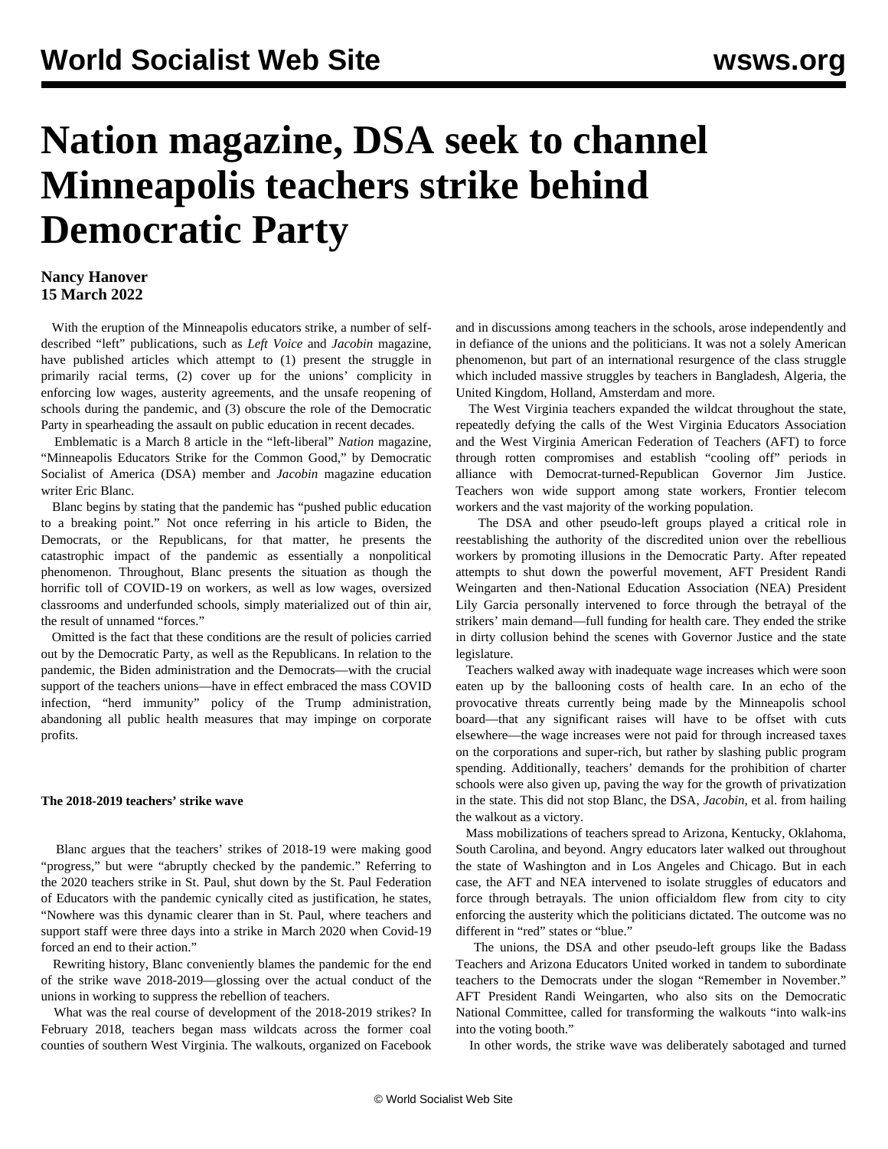# **Nation magazine, DSA seek to channel Minneapolis teachers strike behind Democratic Party**

# **Nancy Hanover 15 March 2022**

 With the eruption of the Minneapolis educators strike, a number of selfdescribed "left" publications, such as *Left Voice* and *Jacobin* magazine, have published articles which attempt to (1) present the struggle in primarily racial terms, (2) cover up for the unions' complicity in enforcing low wages, austerity agreements, and the unsafe reopening of schools during the pandemic, and (3) obscure the role of the Democratic Party in spearheading the assault on public education in recent decades.

 Emblematic is a March 8 article in the "left-liberal" *Nation* magazine, "Minneapolis Educators Strike for the Common Good," by Democratic Socialist of America (DSA) member and *Jacobin* magazine education writer Eric Blanc.

 Blanc begins by stating that the pandemic has "pushed public education to a breaking point." Not once referring in his article to Biden, the Democrats, or the Republicans, for that matter, he presents the catastrophic impact of the pandemic as essentially a nonpolitical phenomenon. Throughout, Blanc presents the situation as though the horrific toll of COVID-19 on workers, as well as low wages, oversized classrooms and underfunded schools, simply materialized out of thin air, the result of unnamed "forces."

 Omitted is the fact that these conditions are the result of policies carried out by the Democratic Party, as well as the Republicans. In relation to the pandemic, the Biden administration and the Democrats—with the crucial support of the teachers unions—have in effect embraced the mass COVID infection, "herd immunity" policy of the Trump administration, abandoning all public health measures that may impinge on corporate profits.

# **The 2018-2019 teachers' strike wave**

 Blanc argues that the teachers' strikes of 2018-19 were making good "progress," but were "abruptly checked by the pandemic." Referring to the [2020 teachers strike in St. Paul](/en/articles/2020/03/16/minn-m16.html), shut down by the St. Paul Federation of Educators with the pandemic cynically cited as justification, he states, "Nowhere was this dynamic clearer than in St. Paul, where teachers and support staff were three days into a strike in March 2020 when Covid-19 forced an end to their action."

 Rewriting history, Blanc conveniently blames the pandemic for the end of the strike wave 2018-2019—glossing over the actual conduct of the unions in working to suppress the rebellion of teachers.

 What was the real course of development of the 2018-2019 strikes? In February 2018, teachers began [mass wildcats](/en/articles/2018/03/08/pers-m08.html) across the former coal counties of southern West Virginia. The walkouts, organized on Facebook and in discussions among teachers in the schools, arose independently and in defiance of the unions and the politicians. It was not a solely American phenomenon, but part of an international resurgence of the class struggle which included massive struggles by teachers in Bangladesh, Algeria, the United Kingdom, Holland, Amsterdam and more.

 The West Virginia teachers expanded the wildcat throughout the state, repeatedly defying the calls of the West Virginia Educators Association and the West Virginia American Federation of Teachers (AFT) to force through rotten compromises and establish "cooling off" periods in alliance with Democrat-turned-Republican Governor Jim Justice. Teachers won wide support among state workers, Frontier telecom workers and the vast majority of the working population.

 The DSA and other pseudo-left groups played a critical role in reestablishing the authority of the discredited union over the rebellious workers by promoting illusions in the Democratic Party. After repeated attempts to shut down the powerful movement, AFT President Randi Weingarten and then-National Education Association (NEA) President Lily Garcia personally intervened to force through the betrayal of the strikers' main demand—full funding for health care. They [ended the strike](/en/articles/2018/03/07/west-m07.html) in dirty collusion behind the scenes with Governor Justice and the state legislature.

 Teachers walked away with inadequate wage increases which were soon eaten up by the ballooning costs of health care. In an echo of the provocative threats currently being made by the Minneapolis school board—that any significant raises will have to be offset with cuts elsewhere—the wage increases were not paid for through increased taxes on the corporations and super-rich, but rather by slashing public program spending. Additionally, teachers' demands for the prohibition of charter schools were also given up, paving the way for the growth of privatization in the state. This did not stop Blanc, the DSA, *Jacobin*, et al. from hailing the walkout as a victory.

 Mass mobilizations of teachers spread to [Arizona,](/en/articles/2018/04/27/ariz-a27.html) [Kentucky](/en/articles/2018/04/04/kent-a04.html), [Oklahoma](/en/articles/2018/04/18/okla-a18.html), South Carolina, and beyond. Angry educators later walked out throughout the state of Washington and in Los Angeles and Chicago. But in each case, the AFT and NEA intervened to isolate struggles of educators and force through betrayals. The union officialdom flew from city to city enforcing the austerity which the politicians dictated. The outcome was no different in "red" states or "blue."

 The unions, the DSA and other pseudo-left groups like the Badass Teachers and Arizona Educators United worked in tandem to subordinate teachers to the Democrats under the slogan ["Remember in November."](/en/articles/2018/11/17/educ-n17.html) AFT President Randi Weingarten, who also sits on the Democratic National Committee, called for transforming the walkouts "into walk-ins into the voting booth."

In other words, the strike wave was deliberately sabotaged and turned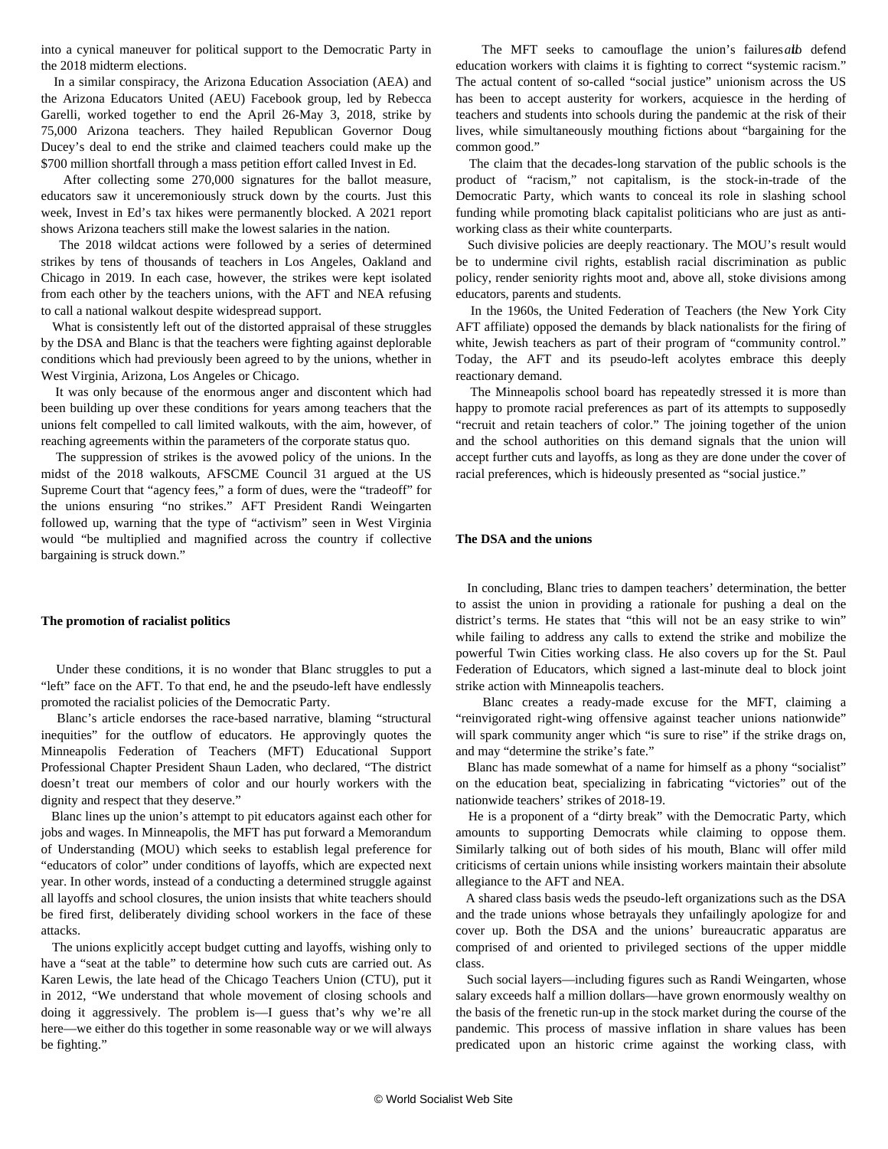into a cynical maneuver for political support to the Democratic Party in the 2018 midterm elections.

 In a similar conspiracy, the Arizona Education Association (AEA) and the Arizona Educators United (AEU) Facebook group, led by Rebecca Garelli, worked together to end the April 26-May 3, 2018, strike by 75,000 Arizona teachers. They hailed Republican Governor Doug Ducey's deal to end the strike and claimed teachers could make up the \$700 million shortfall through a mass petition effort called [Invest in Ed](/en/articles/2018/09/06/ariz-s06.html).

 After collecting some 270,000 signatures for the ballot measure, educators saw it unceremoniously struck down by the courts. Just [this](https://www.knau.org/knau-and-arizona-news/2022-03-11/voter-approved-education-tax-blocked-after-court-ruling) [week](https://www.knau.org/knau-and-arizona-news/2022-03-11/voter-approved-education-tax-blocked-after-court-ruling), Invest in Ed's tax hikes were permanently blocked. A 2021 report shows Arizona teachers still make the lowest salaries in the nation.

 The 2018 wildcat actions were followed by a series of determined strikes by tens of thousands of teachers in [Los Angeles, Oakland](/en/articles/2021/03/25/scho-m25.html) and [Chicago](/en/articles/2019/11/15/chic-n15.html) in 2019. In each case, however, the strikes were kept isolated from each other by the teachers unions, with the AFT and NEA refusing to call a national walkout despite widespread support.

 What is consistently left out of the distorted appraisal of these struggles by the DSA and Blanc is that the teachers were fighting against deplorable conditions which had previously been agreed to by the unions, whether in West Virginia, Arizona, Los Angeles or Chicago.

 It was only because of the enormous anger and discontent which had been building up over these conditions for years among teachers that the unions felt compelled to call limited walkouts, with the aim, however, of reaching agreements within the parameters of the corporate status quo.

 The suppression of strikes is the avowed policy of the unions. In the midst of the 2018 walkouts, AFSCME Council 31 [argued](/en/articles/2018/06/28/janu-j28.html) at the US Supreme Court that "agency fees," a form of dues, were the "tradeoff" for the unions ensuring "no strikes." AFT President Randi Weingarten followed up, warning that the type of "activism" seen in West Virginia would "be multiplied and magnified across the country if collective bargaining is struck down."

#### **The promotion of racialist politics**

 Under these conditions, it is no wonder that Blanc struggles to put a "left" face on the AFT. To that end, he and the pseudo-left have endlessly promoted the racialist policies of the Democratic Party.

 Blanc's article endorses the race-based narrative, blaming "structural inequities" for the outflow of educators. He approvingly quotes the Minneapolis Federation of Teachers (MFT) Educational Support Professional Chapter President Shaun Laden, who declared, "The district doesn't treat our members of color and our hourly workers with the dignity and respect that they deserve."

 Blanc lines up the union's attempt to pit educators against each other for jobs and wages. In Minneapolis, the MFT has put forward a [Memorandum](https://humanresources.mpls.k12.mn.us/uploads/moa_educators_of_color_retention_21-21.pdf) [of Understanding](https://humanresources.mpls.k12.mn.us/uploads/moa_educators_of_color_retention_21-21.pdf) (MOU) which seeks to establish [legal preference](/en/articles/2021/08/12/minn-a12.html) for "educators of color" under conditions of layoffs, which are expected next year. In other words, instead of a conducting a determined struggle against all layoffs and school closures, the union insists that white teachers should be fired first, deliberately dividing school workers in the face of these attacks.

 The unions explicitly accept budget cutting and layoffs, wishing only to have a "seat at the table" to determine how such cuts are carried out. As [Karen Lewis](/en/articles/2021/02/15/chic-f15.html), the late head of the Chicago Teachers Union (CTU), put it in 2012, "We understand that whole movement of closing schools and doing it aggressively. The problem is—I guess that's why we're all here—we either do this together in some reasonable way or we will always be fighting."

The MFT seeks to camouflage the union's failures alb defend education workers with claims it is fighting to correct "systemic racism." The actual content of so-called "social justice" unionism across the US has been to accept austerity for workers, acquiesce in the herding of teachers and students into schools during the pandemic at the risk of their lives, while simultaneously mouthing fictions about "bargaining for the common good."

 The claim that the decades-long starvation of the public schools is the product of "racism," not capitalism, is the stock-in-trade of the Democratic Party, which wants to conceal its role in slashing school funding while promoting black capitalist politicians who are just as antiworking class as their white counterparts.

 Such divisive policies are deeply reactionary. The MOU's result would be to undermine civil rights, establish racial discrimination as public policy, render seniority rights moot and, above all, stoke divisions among educators, parents and students.

 In the 1960s, the United Federation of Teachers (the New York City AFT affiliate) opposed the demands by black nationalists for the firing of white, Jewish teachers as part of their program of "community control." Today, the AFT and its pseudo-left acolytes embrace this deeply reactionary demand.

 The Minneapolis school board has repeatedly stressed it is more than happy to promote racial preferences as part of its attempts to supposedly "recruit and retain teachers of color." The joining together of the union and the school authorities on this demand signals that the union will accept further cuts and layoffs, as long as they are done under the cover of racial preferences, which is hideously presented as "social justice."

## **The DSA and the unions**

 In concluding, Blanc tries to dampen teachers' determination, the better to assist the union in providing a rationale for pushing a deal on the district's terms. He states that "this will not be an easy strike to win" while failing to address any calls to extend the strike and mobilize the powerful Twin Cities working class. He also covers up for the St. Paul Federation of Educators, which signed a last-minute deal to block joint strike action with Minneapolis teachers.

 Blanc creates a ready-made excuse for the MFT, claiming a "reinvigorated right-wing offensive against teacher unions nationwide" will spark community anger which "is sure to rise" if the strike drags on, and may "determine the strike's fate."

 Blanc has made somewhat of a name for himself as a phony "socialist" on the education beat, specializing in fabricating "victories" out of the [nationwide teachers' strikes of 2018-19.](/en/articles/2019/08/08/reds-a08.html)

 He is a proponent of a ["dirty break"](/en/articles/2019/08/10/red2-a10.html) with the Democratic Party, which amounts to supporting Democrats while claiming to oppose them. Similarly talking out of both sides of his mouth, Blanc will offer mild criticisms of certain unions while insisting workers maintain their absolute allegiance to the AFT and NEA.

 A shared class basis weds the pseudo-left organizations such as the DSA and the trade unions whose betrayals they unfailingly apologize for and cover up. Both the DSA and the unions' bureaucratic apparatus are comprised of and oriented to privileged sections of the upper middle class.

 Such social layers—including figures such as Randi Weingarten, whose salary exceeds half a million dollars—have grown enormously wealthy on the basis of the frenetic run-up in the stock market during the course of the pandemic. This process of massive inflation in share values has been predicated upon an historic crime against the working class, with